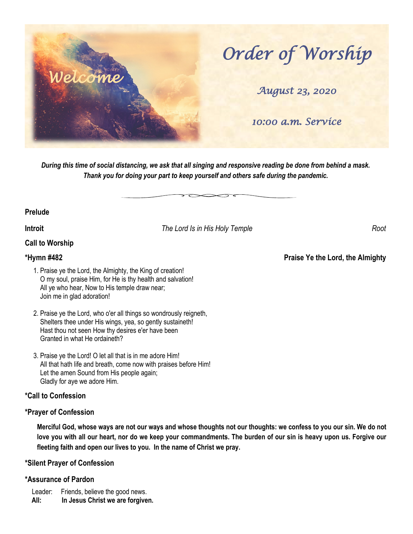

*During this time of social distancing, we ask that all singing and responsive reading be done from behind a mask. Thank you for doing your part to keep yourself and others safe during the pandemic.*

## **Prelude**

**Introit** *The Lord Is in His Holy Temple Root*

## **Call to Worship**

- 1. Praise ye the Lord, the Almighty, the King of creation! O my soul, praise Him, for He is thy health and salvation! All ye who hear, Now to His temple draw near; Join me in glad adoration!
- 2. Praise ye the Lord, who o'er all things so wondrously reigneth, Shelters thee under His wings, yea, so gently sustaineth! Hast thou not seen How thy desires e'er have been Granted in what He ordaineth?
- 3. Praise ye the Lord! O let all that is in me adore Him! All that hath life and breath, come now with praises before Him! Let the amen Sound from His people again; Gladly for aye we adore Him.

## **\*Call to Confession**

## **\*Prayer of Confession**

**Merciful God, whose ways are not our ways and whose thoughts not our thoughts: we confess to you our sin. We do not love you with all our heart, nor do we keep your commandments. The burden of our sin is heavy upon us. Forgive our fleeting faith and open our lives to you. In the name of Christ we pray.** 

## **\*Silent Prayer of Confession**

## **\*Assurance of Pardon**

Leader: Friends, believe the good news.<br>**All: In Jesus Christ we are forgive** In Jesus Christ we are forgiven.

**\*Hymn #482 Praise Ye the Lord, the Almighty**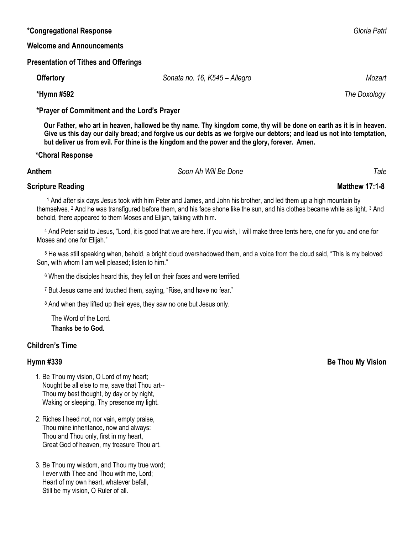## **\*Congregational Response** *Gloria Patri*

#### **Welcome and Announcements**

#### **Presentation of Tithes and Offerings**

 **Offertory** *Sonata no. 16, K545 – Allegro Mozart*

 **\*Hymn #592** *The Doxology*

## **\*Prayer of Commitment and the Lord's Prayer**

 **Our Father, who art in heaven, hallowed be thy name. Thy kingdom come, thy will be done on earth as it is in heaven. Give us this day our daily bread; and forgive us our debts as we forgive our debtors; and lead us not into temptation, but deliver us from evil. For thine is the kingdom and the power and the glory, forever. Amen.** 

## **\*Choral Response**

**Anthem** *Soon Ah Will Be Done Tate*

# **Scripture Reading Matthew 17:1-8**

<sup>1</sup> And after six days Jesus took with him Peter and James, and John his brother, and led them up a high mountain by themselves. <sup>2</sup> And he was transfigured before them, and his face shone like the sun, and his clothes became white as light. <sup>3</sup> And behold, there appeared to them Moses and Elijah, talking with him.

<sup>4</sup> And Peter said to Jesus, "Lord, it is good that we are here. If you wish, I will make three tents here, one for you and one for Moses and one for Elijah."

<sup>5</sup> He was still speaking when, behold, a bright cloud overshadowed them, and a voice from the cloud said, "This is my beloved Son, with whom I am well pleased; listen to him."

<sup>6</sup> When the disciples heard this, they fell on their faces and were terrified.

<sup>7</sup> But Jesus came and touched them, saying, "Rise, and have no fear."

<sup>8</sup> And when they lifted up their eyes, they saw no one but Jesus only.

The Word of the Lord. **Thanks be to God.**

## **Children's Time**

- 1. Be Thou my vision, O Lord of my heart; Nought be all else to me, save that Thou art-- Thou my best thought, by day or by night, Waking or sleeping, Thy presence my light.
- 2. Riches I heed not, nor vain, empty praise, Thou mine inheritance, now and always: Thou and Thou only, first in my heart, Great God of heaven, my treasure Thou art.
- 3. Be Thou my wisdom, and Thou my true word; I ever with Thee and Thou with me, Lord; Heart of my own heart, whatever befall, Still be my vision, O Ruler of all.

**Hymn #339 Be Thou My Vision**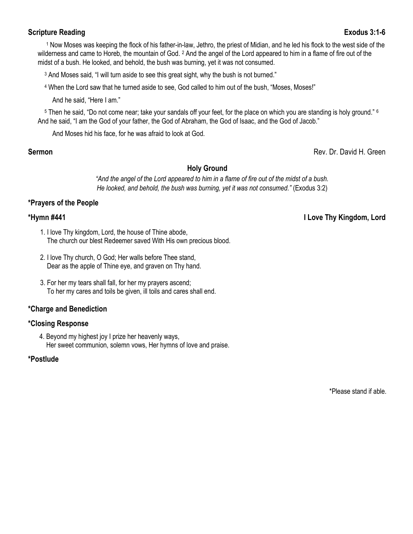# **Scripture Reading Exodus 3:1-6**

<sup>1</sup> Now Moses was keeping the flock of his father-in-law, Jethro, the priest of Midian, and he led his flock to the west side of the wilderness and came to Horeb, the mountain of God. <sup>2</sup> And the angel of the Lord appeared to him in a flame of fire out of the midst of a bush. He looked, and behold, the bush was burning, yet it was not consumed.

<sup>3</sup> And Moses said, "I will turn aside to see this great sight, why the bush is not burned."

<sup>4</sup> When the Lord saw that he turned aside to see, God called to him out of the bush, "Moses, Moses!"

And he said, "Here I am."

<sup>5</sup> Then he said, "Do not come near; take your sandals off your feet, for the place on which you are standing is holy ground." <sup>6</sup> And he said, "I am the God of your father, the God of Abraham, the God of Isaac, and the God of Jacob."

And Moses hid his face, for he was afraid to look at God.

**Sermon Rev. Dr. David H. Green** 

# **Holy Ground**

*"And the angel of the Lord appeared to him in a flame of fire out of the midst of a bush. He looked, and behold, the bush was burning, yet it was not consumed."* (Exodus 3:2)

# **\*Prayers of the People**

## **\*Hymn #441 I Love Thy Kingdom, Lord**

- 1. I love Thy kingdom, Lord, the house of Thine abode, The church our blest Redeemer saved With His own precious blood.
- 2. I love Thy church, O God; Her walls before Thee stand, Dear as the apple of Thine eye, and graven on Thy hand.
- 3. For her my tears shall fall, for her my prayers ascend; To her my cares and toils be given, ill toils and cares shall end.

## **\*Charge and Benediction**

## **\*Closing Response**

4. Beyond my highest joy I prize her heavenly ways, Her sweet communion, solemn vows, Her hymns of love and praise.

## **\*Postlude**

\*Please stand if able.